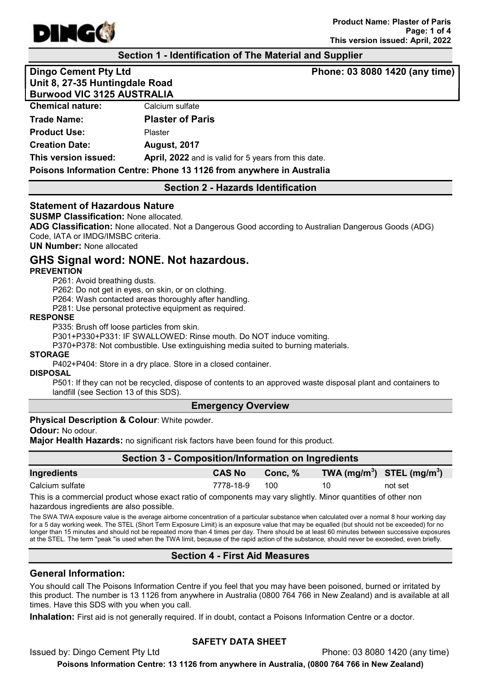

#### Section 1 - Identification of The Material and Supplier

Dingo Cement Pty Ltd **Phone: 03 8080 1420 (any time)** Unit 8, 27-35 Huntingdale Road Burwood VIC 3125 AUSTRALIA

| <b>Chemical nature:</b> | Calcium sulfate                                                      |  |
|-------------------------|----------------------------------------------------------------------|--|
| <b>Trade Name:</b>      | <b>Plaster of Paris</b>                                              |  |
| <b>Product Use:</b>     | Plaster                                                              |  |
| <b>Creation Date:</b>   | <b>August, 2017</b>                                                  |  |
| This version issued:    | <b>April, 2022</b> and is valid for 5 years from this date.          |  |
|                         | Poisons Information Centre: Phone 13 1126 from anywhere in Australia |  |

#### Section 2 - Hazards Identification

#### Statement of Hazardous Nature

SUSMP Classification: None allocated.

ADG Classification: None allocated. Not a Dangerous Good according to Australian Dangerous Goods (ADG) Code, IATA or IMDG/IMSBC criteria.

UN Number: None allocated

# GHS Signal word: NONE. Not hazardous.

#### **PREVENTION**

P261: Avoid breathing dusts.

P262: Do not get in eyes, on skin, or on clothing.

P264: Wash contacted areas thoroughly after handling.

P281: Use personal protective equipment as required.

#### RESPONSE

P335: Brush off loose particles from skin.

P301+P330+P331: IF SWALLOWED: Rinse mouth. Do NOT induce vomiting.

P370+P378: Not combustible. Use extinguishing media suited to burning materials.

#### **STORAGE**

P402+P404: Store in a dry place. Store in a closed container.

**DISPOSAL** 

P501: If they can not be recycled, dispose of contents to an approved waste disposal plant and containers to landfill (see Section 13 of this SDS).

#### Emergency Overview

#### **Physical Description & Colour: White powder.**

Odour: No odour.

Major Health Hazards: no significant risk factors have been found for this product.

| Section 3 - Composition/Information on Ingredients |               |         |                                |         |
|----------------------------------------------------|---------------|---------|--------------------------------|---------|
| Ingredients                                        | <b>CAS No</b> | Conc. % | TWA $(mg/m^3)$ STEL $(mg/m^3)$ |         |
| Calcium sulfate                                    | 7778-18-9     | 100     | 10                             | not set |

This is a commercial product whose exact ratio of components may vary slightly. Minor quantities of other non hazardous ingredients are also possible.

The SWA TWA exposure value is the average airborne concentration of a particular substance when calculated over a normal 8 hour working day for a 5 day working week. The STEL (Short Term Exposure Limit) is an exposure value that may be equalled (but should not be exceeded) for no longer than 15 minutes and should not be repeated more than 4 times per day. There should be at least 60 minutes between successive exposures at the STEL. The term "peak "is used when the TWA limit, because of the rapid action of the substance, should never be exceeded, even briefly.

## Section 4 - First Aid Measures

#### General Information:

You should call The Poisons Information Centre if you feel that you may have been poisoned, burned or irritated by this product. The number is 13 1126 from anywhere in Australia (0800 764 766 in New Zealand) and is available at all times. Have this SDS with you when you call.

Inhalation: First aid is not generally required. If in doubt, contact a Poisons Information Centre or a doctor.

## SAFETY DATA SHEET

Issued by: Dingo Cement Pty Ltd Phone: 03 8080 1420 (any time) Poisons Information Centre: 13 1126 from anywhere in Australia, (0800 764 766 in New Zealand)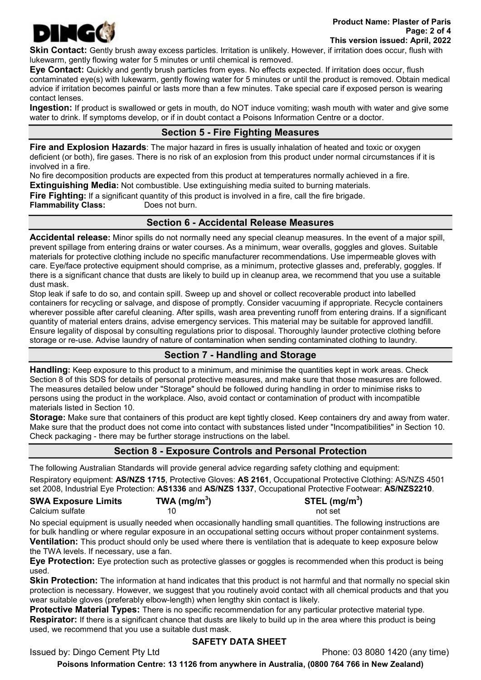

Skin Contact: Gently brush away excess particles. Irritation is unlikely. However, if irritation does occur, flush with lukewarm, gently flowing water for 5 minutes or until chemical is removed.

Eye Contact: Quickly and gently brush particles from eyes. No effects expected. If irritation does occur, flush contaminated eye(s) with lukewarm, gently flowing water for 5 minutes or until the product is removed. Obtain medical advice if irritation becomes painful or lasts more than a few minutes. Take special care if exposed person is wearing contact lenses.

Ingestion: If product is swallowed or gets in mouth, do NOT induce vomiting; wash mouth with water and give some water to drink. If symptoms develop, or if in doubt contact a Poisons Information Centre or a doctor.

# Section 5 - Fire Fighting Measures

**Fire and Explosion Hazards:** The major hazard in fires is usually inhalation of heated and toxic or oxygen deficient (or both), fire gases. There is no risk of an explosion from this product under normal circumstances if it is involved in a fire.

No fire decomposition products are expected from this product at temperatures normally achieved in a fire.

**Extinguishing Media:** Not combustible. Use extinguishing media suited to burning materials.

Fire Fighting: If a significant quantity of this product is involved in a fire, call the fire brigade.

Flammability Class: Does not burn.

# Section 6 - Accidental Release Measures

Accidental release: Minor spills do not normally need any special cleanup measures. In the event of a major spill, prevent spillage from entering drains or water courses. As a minimum, wear overalls, goggles and gloves. Suitable materials for protective clothing include no specific manufacturer recommendations. Use impermeable gloves with care. Eye/face protective equipment should comprise, as a minimum, protective glasses and, preferably, goggles. If there is a significant chance that dusts are likely to build up in cleanup area, we recommend that you use a suitable dust mask.

Stop leak if safe to do so, and contain spill. Sweep up and shovel or collect recoverable product into labelled containers for recycling or salvage, and dispose of promptly. Consider vacuuming if appropriate. Recycle containers wherever possible after careful cleaning. After spills, wash area preventing runoff from entering drains. If a significant quantity of material enters drains, advise emergency services. This material may be suitable for approved landfill. Ensure legality of disposal by consulting regulations prior to disposal. Thoroughly launder protective clothing before storage or re-use. Advise laundry of nature of contamination when sending contaminated clothing to laundry.

# Section 7 - Handling and Storage

Handling: Keep exposure to this product to a minimum, and minimise the quantities kept in work areas. Check Section 8 of this SDS for details of personal protective measures, and make sure that those measures are followed. The measures detailed below under "Storage" should be followed during handling in order to minimise risks to persons using the product in the workplace. Also, avoid contact or contamination of product with incompatible materials listed in Section 10.

Storage: Make sure that containers of this product are kept tightly closed. Keep containers dry and away from water. Make sure that the product does not come into contact with substances listed under "Incompatibilities" in Section 10. Check packaging - there may be further storage instructions on the label.

# Section 8 - Exposure Controls and Personal Protection

The following Australian Standards will provide general advice regarding safety clothing and equipment: Respiratory equipment: AS/NZS 1715, Protective Gloves: AS 2161, Occupational Protective Clothing: AS/NZS 4501 set 2008, Industrial Eye Protection: AS1336 and AS/NZS 1337, Occupational Protective Footwear: AS/NZS2210.

SWA Exposure Limits  $TWA (mg/m<sup>3</sup>)$ Calcium sulfate 10 10 not set

) STEL (mg/m $^3$ )

No special equipment is usually needed when occasionally handling small quantities. The following instructions are for bulk handling or where regular exposure in an occupational setting occurs without proper containment systems. Ventilation: This product should only be used where there is ventilation that is adequate to keep exposure below the TWA levels. If necessary, use a fan.

Eye Protection: Eye protection such as protective glasses or goggles is recommended when this product is being used.

Skin Protection: The information at hand indicates that this product is not harmful and that normally no special skin protection is necessary. However, we suggest that you routinely avoid contact with all chemical products and that you wear suitable gloves (preferably elbow-length) when lengthy skin contact is likely.

Protective Material Types: There is no specific recommendation for any particular protective material type. Respirator: If there is a significant chance that dusts are likely to build up in the area where this product is being used, we recommend that you use a suitable dust mask.

## SAFETY DATA SHEET

Issued by: Dingo Cement Pty Ltd Phone: 03 8080 1420 (any time)

Poisons Information Centre: 13 1126 from anywhere in Australia, (0800 764 766 in New Zealand)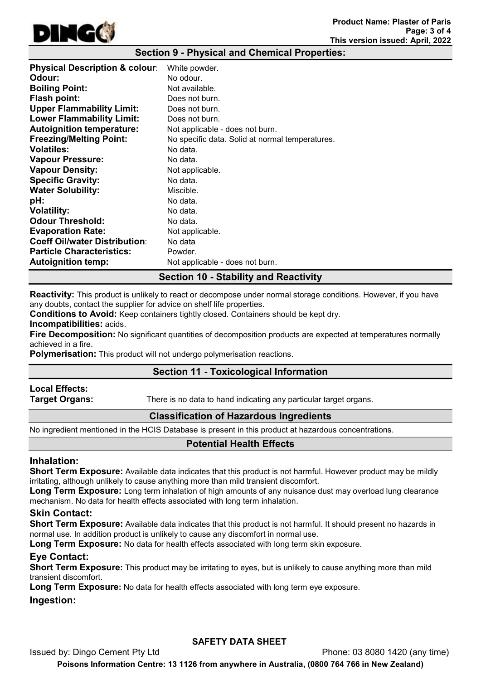

#### Section 9 - Physical and Chemical Properties:

| <b>Physical Description &amp; colour:</b> | White powder.                                   |
|-------------------------------------------|-------------------------------------------------|
| Odour:                                    | No odour.                                       |
| <b>Boiling Point:</b>                     | Not available.                                  |
| <b>Flash point:</b>                       | Does not burn.                                  |
| <b>Upper Flammability Limit:</b>          | Does not burn.                                  |
| <b>Lower Flammability Limit:</b>          | Does not burn.                                  |
| <b>Autoignition temperature:</b>          | Not applicable - does not burn.                 |
| <b>Freezing/Melting Point:</b>            | No specific data. Solid at normal temperatures. |
| <b>Volatiles:</b>                         | No data.                                        |
| <b>Vapour Pressure:</b>                   | No data.                                        |
| <b>Vapour Density:</b>                    | Not applicable.                                 |
| <b>Specific Gravity:</b>                  | No data.                                        |
| <b>Water Solubility:</b>                  | Miscible.                                       |
| pH:                                       | No data.                                        |
| <b>Volatility:</b>                        | No data.                                        |
| <b>Odour Threshold:</b>                   | No data.                                        |
| <b>Evaporation Rate:</b>                  | Not applicable.                                 |
| <b>Coeff Oil/water Distribution:</b>      | No data                                         |
| <b>Particle Characteristics:</b>          | Powder.                                         |
| <b>Autoignition temp:</b>                 | Not applicable - does not burn.                 |

## Section 10 - Stability and Reactivity

Reactivity: This product is unlikely to react or decompose under normal storage conditions. However, if you have any doubts, contact the supplier for advice on shelf life properties.

Conditions to Avoid: Keep containers tightly closed. Containers should be kept dry.

Incompatibilities: acids.

Fire Decomposition: No significant quantities of decomposition products are expected at temperatures normally achieved in a fire.

Polymerisation: This product will not undergo polymerisation reactions.

## Section 11 - Toxicological Information

# Local Effects:

**Target Organs:** There is no data to hand indicating any particular target organs.

## Classification of Hazardous Ingredients

No ingredient mentioned in the HCIS Database is present in this product at hazardous concentrations.

## Potential Health Effects

#### Inhalation:

Short Term Exposure: Available data indicates that this product is not harmful. However product may be mildly irritating, although unlikely to cause anything more than mild transient discomfort.

Long Term Exposure: Long term inhalation of high amounts of any nuisance dust may overload lung clearance mechanism. No data for health effects associated with long term inhalation.

#### Skin Contact:

Short Term Exposure: Available data indicates that this product is not harmful. It should present no hazards in normal use. In addition product is unlikely to cause any discomfort in normal use.

Long Term Exposure: No data for health effects associated with long term skin exposure.

## Eye Contact:

**Short Term Exposure:** This product may be irritating to eyes, but is unlikely to cause anything more than mild transient discomfort.

Long Term Exposure: No data for health effects associated with long term eye exposure.

#### Ingestion:

## SAFETY DATA SHEET

Issued by: Dingo Cement Pty Ltd Phone: 03 8080 1420 (any time) Poisons Information Centre: 13 1126 from anywhere in Australia, (0800 764 766 in New Zealand)